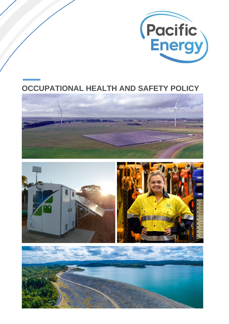

# **OCCUPATIONAL HEALTH AND SAFETY POLICY**





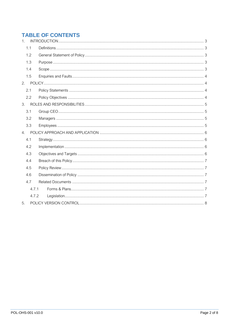# **TABLE OF CONTENTS**

| 1.    |  |  |  |  |  |
|-------|--|--|--|--|--|
| 1.1   |  |  |  |  |  |
| 1.2   |  |  |  |  |  |
| 1.3   |  |  |  |  |  |
| 1.4   |  |  |  |  |  |
| 1.5   |  |  |  |  |  |
| 2.    |  |  |  |  |  |
| 2.1   |  |  |  |  |  |
| 2.2   |  |  |  |  |  |
|       |  |  |  |  |  |
| 3.1   |  |  |  |  |  |
| 3.2   |  |  |  |  |  |
| 3.3   |  |  |  |  |  |
| 4.    |  |  |  |  |  |
| 4.1   |  |  |  |  |  |
| 4.2   |  |  |  |  |  |
| 4.3   |  |  |  |  |  |
| 4.4   |  |  |  |  |  |
| 4.5   |  |  |  |  |  |
| 4.6   |  |  |  |  |  |
| 4.7   |  |  |  |  |  |
| 4.7.1 |  |  |  |  |  |
| 4.7.2 |  |  |  |  |  |
| 5.    |  |  |  |  |  |
|       |  |  |  |  |  |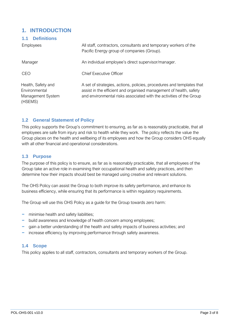# <span id="page-2-0"></span>**1. INTRODUCTION**

#### <span id="page-2-1"></span>**1.1 Definitions**

| <b>Employees</b>                                                    | All staff, contractors, consultants and temporary workers of the<br>Pacific Energy group of companies (Group).                                                                                                     |
|---------------------------------------------------------------------|--------------------------------------------------------------------------------------------------------------------------------------------------------------------------------------------------------------------|
| Manager                                                             | An individual employee's direct supervisor/manager.                                                                                                                                                                |
| <b>CEO</b>                                                          | <b>Chief Executive Officer</b>                                                                                                                                                                                     |
| Health, Safety and<br>Environmental<br>Management System<br>(HSEMS) | A set of strategies, actions, policies, procedures and templates that<br>assist in the efficient and organised management of health, safety<br>and environmental risks associated with the activities of the Group |

# <span id="page-2-2"></span>**1.2 General Statement of Policy**

This policy supports the Group's commitment to ensuring, as far as is reasonably practicable, that all employees are safe from injury and risk to health while they work. The policy reflects the value the Group places on the health and wellbeing of its employees and how the Group considers OHS equally with all other financial and operational considerations.

# <span id="page-2-3"></span>**1.3 Purpose**

The purpose of this policy is to ensure, as far as is reasonably practicable, that all employees of the Group take an active role in examining their occupational health and safety practices, and then determine how their impacts should best be managed using creative and relevant solutions.

The OHS Policy can assist the Group to both improve its safety performance, and enhance its business efficiency, while ensuring that its performance is within regulatory requirements.

The Group will use this OHS Policy as a guide for the Group towards zero harm:

- − minimise health and safety liabilities;
- − build awareness and knowledge of health concern among employees;
- − gain a better understanding of the health and safety impacts of business activities; and
- − increase efficiency by improving performance through safety awareness.

### <span id="page-2-4"></span>**1.4 Scope**

This policy applies to all staff, contractors, consultants and temporary workers of the Group.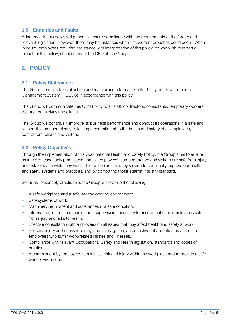# <span id="page-3-0"></span>**1.5 Enquiries and Faults**

Adherence to this policy will generally ensure compliance with the requirements of the Group and relevant legislation. However, there may be instances where inadvertent breaches could occur. When in doubt, employees requiring assistance with interpretation of this policy, or who wish to report a breach of this policy, should contact the CEO of the Group.

# <span id="page-3-1"></span>**2. POLICY**

# <span id="page-3-2"></span>**2.1 Policy Statements**

The Group commits to establishing and maintaining a formal Health, Safety and Environmental Management System (HSEMS) in accordance with this policy.

The Group will communicate this OHS Policy to all staff, contractors, consultants, temporary workers, visitors, technicians and clients.

The Group will continually improve its business performance and conduct its operations in a safe and responsible manner, clearly reflecting a commitment to the health and safety of all employees, contractors, clients and visitors.

# <span id="page-3-3"></span>**2.2 Policy Objectives**

Through the implementation of this Occupational Health and Safety Policy, the Group aims to ensure, as far as is reasonably practicable, that all employees, sub-contractors and visitors are safe from injury and risk to health while they work. This will be achieved by striving to continually improve our health and safety systems and practices, and by comparing those against industry standard.

So far as reasonably practicable, the Group will provide the following:

- − A safe workplace and a safe healthy working environment.
- − Safe systems of work.
- − Machinery, equipment and substances in a safe condition.
- − Information, instruction, training and supervision necessary to ensure that each employee is safe from injury and risks to health.
- − Effective consultation with employees on all issues that may affect health and safety at work.
- − Effective injury and illness reporting and investigation, and effective rehabilitation measures for employees who suffer work-related injuries and illnesses.
- − Compliance with relevant Occupational Safety and Health legislation, standards and codes of practice.
- − A commitment by employees to minimise risk and injury within the workplace and to provide a safe work environment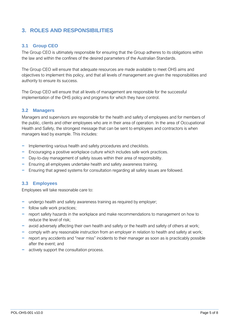# <span id="page-4-0"></span>**3. ROLES AND RESPONSIBILITIES**

# <span id="page-4-1"></span>**3.1 Group CEO**

The Group CEO is ultimately responsible for ensuring that the Group adheres to its obligations within the law and within the confines of the desired parameters of the Australian Standards.

The Group CEO will ensure that adequate resources are made available to meet OHS aims and objectives to implement this policy, and that all levels of management are given the responsibilities and authority to ensure its success.

The Group CEO will ensure that all levels of management are responsible for the successful implementation of the OHS policy and programs for which they have control.

# <span id="page-4-2"></span>**3.2 Managers**

Managers and supervisors are responsible for the health and safety of employees and for members of the public, clients and other employees who are in their area of operation. In the area of Occupational Health and Safety, the strongest message that can be sent to employees and contractors is when managers lead by example. This includes:

- − Implementing various health and safety procedures and checklists.
- − Encouraging a positive workplace culture which includes safe work practices.
- − Day-to-day management of safety issues within their area of responsibility.
- − Ensuring all employees undertake health and safety awareness training.
- − Ensuring that agreed systems for consultation regarding all safety issues are followed.

#### <span id="page-4-3"></span>**3.3 Employees**

Employees will take reasonable care to:

- − undergo health and safety awareness training as required by employer;
- − follow safe work practices;
- − report safety hazards in the workplace and make recommendations to management on how to reduce the level of risk;
- − avoid adversely affecting their own health and safety or the health and safety of others at work;
- − comply with any reasonable instruction from an employer in relation to health and safety at work;
- − report any accidents and "near miss" incidents to their manager as soon as is practicably possible after the event; and
- − actively support the consultation process.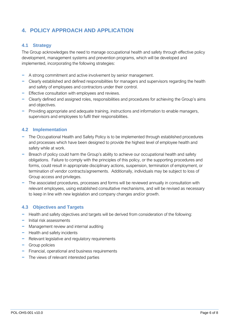# <span id="page-5-0"></span>**4. POLICY APPROACH AND APPLICATION**

# <span id="page-5-1"></span>**4.1 Strategy**

The Group acknowledges the need to manage occupational health and safety through effective policy development, management systems and prevention programs, which will be developed and implemented, incorporating the following strategies:

- − A strong commitment and active involvement by senior management.
- − Clearly established and defined responsibilities for managers and supervisors regarding the health and safety of employees and contractors under their control.
- − Effective consultation with employees and reviews.
- − Clearly defined and assigned roles, responsibilities and procedures for achieving the Group's aims and objectives.
- − Providing appropriate and adequate training, instructions and information to enable managers, supervisors and employees to fulfil their responsibilities.

# <span id="page-5-2"></span>**4.2 Implementation**

- − The Occupational Health and Safety Policy is to be implemented through established procedures and processes which have been designed to provide the highest level of employee health and safety while at work.
- − Breach of policy could harm the Group's ability to achieve our occupational health and safety obligations. Failure to comply with the principles of this policy, or the supporting procedures and forms, could result in appropriate disciplinary actions, suspension, termination of employment, or termination of vendor contracts/agreements. Additionally, individuals may be subject to loss of Group access and privileges.
- − The associated procedures, processes and forms will be reviewed annually in consultation with relevant employees, using established consultative mechanisms, and will be revised as necessary to keep in line with new legislation and company changes and/or growth.

# <span id="page-5-3"></span>**4.3 Objectives and Targets**

- − Health and safety objectives and targets will be derived from consideration of the following:
- − Initial risk assessments
- − Management review and internal auditing
- − Health and safety incidents
- − Relevant legislative and regulatory requirements
- − Group policies
- − Financial, operational and business requirements
- − The views of relevant interested parties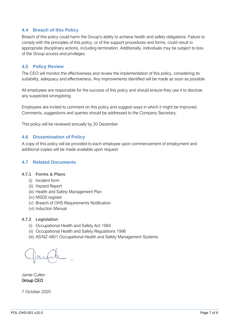# <span id="page-6-0"></span>**4.4 Breach of this Policy**

Breach of this policy could harm the Group's ability to achieve health and safety obligations. Failure to comply with the principles of this policy, or of the support procedures and forms, could result in appropriate disciplinary actions, including termination. Additionally, individuals may be subject to loss of the Group access and privileges.

### <span id="page-6-1"></span>**4.5 Policy Review**

The CEO will monitor the effectiveness and review the implementation of this policy, considering its suitability, adequacy and effectiveness. Any improvements identified will be made as soon as possible.

All employees are responsible for the success of this policy and should ensure they use it to disclose any suspected wrongdoing.

Employees are invited to comment on this policy and suggest ways in which it might be improved. Comments, suggestions and queries should be addressed to the Company Secretary.

This policy will be reviewed annually by 20 December.

#### <span id="page-6-2"></span>**4.6 Dissemination of Policy**

A copy of this policy will be provided to each employee upon commencement of employment and additional copies will be made available upon request.

### <span id="page-6-3"></span>**4.7 Related Documents**

#### <span id="page-6-4"></span>**4.7.1 Forms & Plans**

- (i) Incident form
- (ii) Hazard Report
- (iii) Health and Safety Management Plan
- (iv) MSDS register
- (v) Breach of OHS Requirements Notification
- (vi) Induction Manual

#### <span id="page-6-5"></span>**4.7.2 Legislation**

- (i) Occupational Health and Safety Act 1984
- (ii) Occupational Health and Safety Regulations 1996
- (iii) AS/NZ 4801 Occupational Health and Safety Management Systems

Jamie Cullen Group CEO

7 October 2020